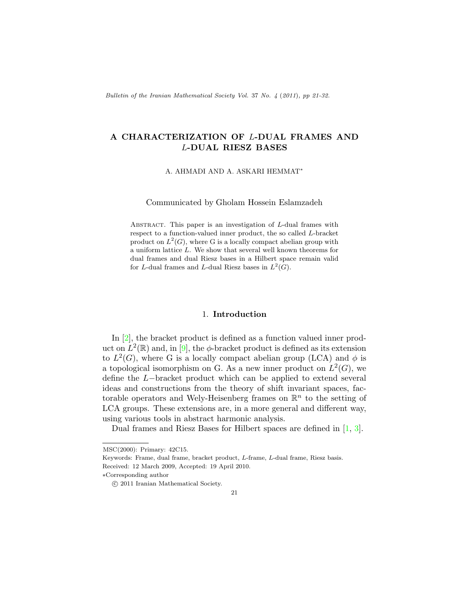Bulletin of the Iranian Mathematical Society Vol. 37 No. 4 (2011), pp 21-32.

# A CHARACTERIZATION OF L-DUAL FRAMES AND L-DUAL RIESZ BASES

A. AHMADI AND A. ASKARI HEMMAT<sup>∗</sup>

Communicated by Gholam Hossein Eslamzadeh

ABSTRACT. This paper is an investigation of  $L$ -dual frames with respect to a function-valued inner product, the so called L-bracket product on  $L^2(G)$ , where G is a locally compact abelian group with a uniform lattice L. We show that several well known theorems for dual frames and dual Riesz bases in a Hilbert space remain valid for L-dual frames and L-dual Riesz bases in  $L^2(G)$ .

### 1. Introduction

In [\[2\]](#page-10-0), the bracket product is defined as a function valued inner product on  $L^2(\mathbb{R})$  and, in [\[9\]](#page-11-0), the  $\phi$ -bracket product is defined as its extension to  $L^2(G)$ , where G is a locally compact abelian group (LCA) and  $\phi$  is a topological isomorphism on G. As a new inner product on  $L^2(G)$ , we define the L−bracket product which can be applied to extend several ideas and constructions from the theory of shift invariant spaces, factorable operators and Wely-Heisenberg frames on  $\mathbb{R}^n$  to the setting of LCA groups. These extensions are, in a more general and different way, using various tools in abstract harmonic analysis.

Dual frames and Riesz Bases for Hilbert spaces are defined in [\[1,](#page-10-1) [3\]](#page-10-2).

MSC(2000): Primary: 42C15.

Keywords: Frame, dual frame, bracket product, L-frame, L-dual frame, Riesz basis. Received: 12 March 2009, Accepted: 19 April 2010.

<sup>∗</sup>Corresponding author

c 2011 Iranian Mathematical Society.

<sup>21</sup>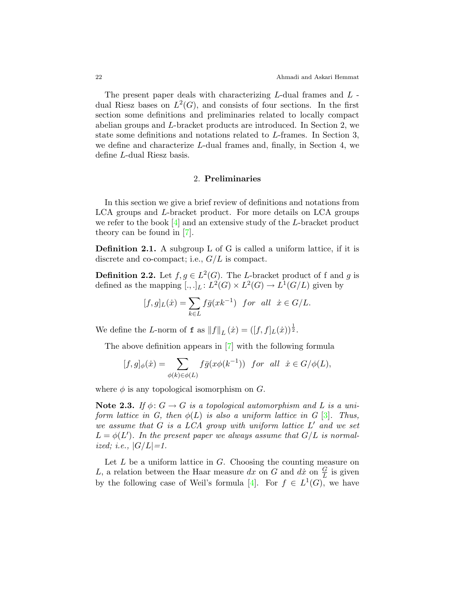The present paper deals with characterizing L-dual frames and L dual Riesz bases on  $L^2(G)$ , and consists of four sections. In the first section some definitions and preliminaries related to locally compact abelian groups and L-bracket products are introduced. In Section 2, we state some definitions and notations related to L-frames. In Section 3, we define and characterize L-dual frames and, finally, in Section 4, we define L-dual Riesz basis.

## 2. Preliminaries

In this section we give a brief review of definitions and notations from LCA groups and L-bracket product. For more details on LCA groups we refer to the book  $[4]$  and an extensive study of the L-bracket product theory can be found in [\[7\]](#page-11-1).

Definition 2.1. A subgroup L of G is called a uniform lattice, if it is discrete and co-compact; i.e.,  $G/L$  is compact.

**Definition 2.2.** Let  $f, g \in L^2(G)$ . The L-bracket product of f and g is defined as the mapping  $[.,.]_L: L^2(G) \times L^2(G) \to L^1(G/L)$  given by

$$
[f,g]_L(\dot{x}) = \sum_{k \in L} f\bar{g}(xk^{-1}) \text{ for all } \dot{x} \in G/L.
$$

We define the L-norm of **f** as  $||f||_L(\dot{x}) = ([f, f]_L(\dot{x}))^{\frac{1}{2}}$ .

The above definition appears in [\[7\]](#page-11-1) with the following formula

$$
[f,g]_{\phi}(\dot{x}) = \sum_{\phi(k)\in\phi(L)} f\bar{g}(x\phi(k^{-1})) \text{ for all } \dot{x} \in G/\phi(L),
$$

where  $\phi$  is any topological isomorphism on G.

Note 2.3. If  $\phi: G \to G$  is a topological automorphism and L is a uniform lattice in G, then  $\phi(L)$  is also a uniform lattice in G [\[3\]](#page-10-2). Thus, we assume that  $G$  is a LCA group with uniform lattice  $L'$  and we set  $L = \phi(L')$ . In the present paper we always assume that  $G/L$  is normalized; i.e.,  $|G/L| = 1$ .

Let  $L$  be a uniform lattice in  $G$ . Choosing the counting measure on L, a relation between the Haar measure dx on G and dx on  $\frac{G}{L}$  is given by the following case of Weil's formula [\[4\]](#page-10-3). For  $f \in L^1(G)$ , we have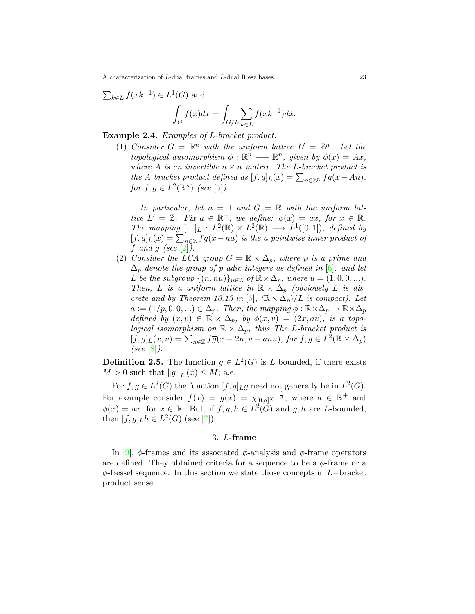$$
\sum_{k \in L} f(xk^{-1}) \in L^1(G) \text{ and}
$$

$$
\int_G f(x)dx = \int_{G/L} \sum_{k \in L} f(xk^{-1})dx.
$$

Example 2.4. Examples of L-bracket product:

(1) Consider  $G = \mathbb{R}^n$  with the uniform lattice  $L' = \mathbb{Z}^n$ . Let the topological automorphism  $\phi : \mathbb{R}^n \longrightarrow \mathbb{R}^n$ , given by  $\phi(x) = Ax$ , where A is an invertible  $n \times n$  matrix. The L-bracket product is the A-bracket product defined as  $[f, g]_L(x) = \sum_{n \in \mathbb{Z}^n} f\overline{g}(x - An)$ , for  $f, g \in L^2(\mathbb{R}^n)$  (see [\[5\]](#page-10-4)).

In particular, let  $n = 1$  and  $G = \mathbb{R}$  with the uniform lattice  $L' = \mathbb{Z}$ . Fix  $a \in \mathbb{R}^+$ , we define:  $\phi(x) = ax$ , for  $x \in \mathbb{R}$ . The mapping  $[.,.]_L : L^2(\mathbb{R}) \times L^2(\mathbb{R}) \longrightarrow L^1([0,1]),$  defined by  $[f,g]_L(x) = \sum_{n \in \mathbb{Z}} f \overline{g}(x-na)$  is the a-pointwise inner product of f and g (see [\[2\]](#page-10-0)).

(2) Consider the LCA group  $G = \mathbb{R} \times \Delta_p$ , where p is a prime and  $\Delta_p$  denote the group of p-adic integers as defined in [\[6\]](#page-11-2). and let L be the subgroup  $\{(n, nu)\}_{n \in \mathbb{Z}}$  of  $\mathbb{R} \times \Delta_p$ , where  $u = (1, 0, 0, ...)$ . Then, L is a uniform lattice in  $\mathbb{R} \times \Delta_p$  (obviously L is dis-crete and by Theorem 10.13 in [\[6\]](#page-11-2),  $(\mathbb{R} \times \Delta_p)/L$  is compact). Let  $a := (1/p, 0, 0, ...) \in \Delta_p$ . Then, the mapping  $\phi : \mathbb{R} \times \Delta_p \to \mathbb{R} \times \Delta_p$ defined by  $(x, v) \in \mathbb{R} \times \Delta_p$ , by  $\phi(x, v) = (2x, av)$ , is a topological isomorphism on  $\mathbb{R} \times \Delta_p$ , thus The L-bracket product is  $[f,g]_L(x,v) = \sum_{n \in \mathbb{Z}} f\overline{g}(x-2n,v-anu), \text{ for } f,g \in L^2(\mathbb{R} \times \Delta_p)$ (see  $[8]$ ).

**Definition 2.5.** The function  $g \in L^2(G)$  is L-bounded, if there exists  $M > 0$  such that  $||g||_L (\dot{x}) \leq M$ ; a.e.

For  $f, g \in L^2(G)$  the function  $[f, g]_L g$  need not generally be in  $L^2(G)$ . For example consider  $f(x) = g(x) = \chi_{[0,a]}x^{-\frac{1}{3}}$ , where  $a \in \mathbb{R}^+$  and  $\phi(x) = ax$ , for  $x \in \mathbb{R}$ . But, if  $f, g, h \in L^2(G)$  and  $g, h$  are L-bounded, then  $[f, g]_L h \in L^2(G)$  (see [\[7\]](#page-11-1)).

#### 3. L-frame

In [\[9\]](#page-11-0),  $\phi$ -frames and its associated  $\phi$ -analysis and  $\phi$ -frame operators are defined. They obtained criteria for a sequence to be a  $\phi$ -frame or a  $\phi$ -Bessel sequence. In this section we state those concepts in L−bracket product sense.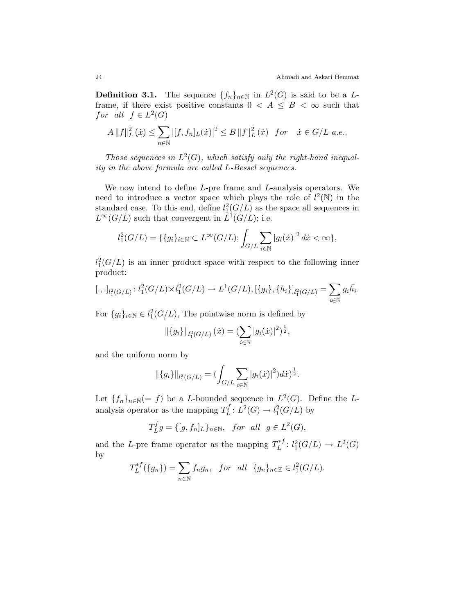**Definition 3.1.** The sequence  $\{f_n\}_{n\in\mathbb{N}}$  in  $L^2(G)$  is said to be a Lframe, if there exist positive constants  $0 < A \leq B < \infty$  such that for all  $f \in L^2(G)$ 

$$
A \|f\|_{L}^{2}(\dot{x}) \leq \sum_{n \in \mathbb{N}} |[f, f_{n}]_{L}(\dot{x})|^{2} \leq B \|f\|_{L}^{2}(\dot{x}) \text{ for } \dot{x} \in G/L \text{ a.e.}.
$$

Those sequences in  $L^2(G)$ , which satisfy only the right-hand inequality in the above formula are called L-Bessel sequences.

We now intend to define L-pre frame and L-analysis operators. We need to introduce a vector space which plays the role of  $l^2(\mathbb{N})$  in the standard case. To this end, define  $l_1^2(G/L)$  as the space all sequences in  $L^{\infty}(G/L)$  such that convergent in  $\overline{L}^{1}(G/L)$ ; i.e.

$$
l_1^2(G/L) = \{ \{ g_i \}_{i \in \mathbb{N}} \subset L^{\infty}(G/L) ; \int_{G/L} \sum_{i \in \mathbb{N}} |g_i(\dot{x})|^2 \, d\dot{x} < \infty \},
$$

 $l_1^2(G/L)$  is an inner product space with respect to the following inner product:

$$
[.,.]_{l_1^2(G/L)}: l_1^2(G/L) \times l_1^2(G/L) \to L^1(G/L), [\{g_i\}, \{h_i\}]_{l_1^2(G/L)} = \sum_{i \in \mathbb{N}} g_i \overline{h_i}.
$$

For  ${g_i}_{i \in \mathbb{N}} \in l_1^2(G/L)$ , The pointwise norm is defined by

$$
\|\{g_i\}\|_{l_1^2(G/L)}(\dot{x})=(\sum_{i\in\mathbb{N}}|g_i(\dot{x})|^2)^{\frac{1}{2}},
$$

and the uniform norm by

$$
\|\{g_i\}\|_{l_1^2(G/L)} = (\int_{G/L} \sum_{i \in \mathbb{N}} |g_i(\dot{x})|^2) dx^{\frac{1}{2}}.
$$

Let  ${f_n}_{n \in \mathbb{N}} (= f)$  be a L-bounded sequence in  $L^2(G)$ . Define the Lanalysis operator as the mapping  $T^f_L$  $L^{1}(G) \to l_{1}^{2}(G/L)$  by

$$
T_L^fg = \{ [g, f_n]_L \}_{n \in \mathbb{N}}, \quad \text{for all } g \in L^2(G),
$$

and the L-pre frame operator as the mapping  $T_L^{*f}$  $L^{*f}: l_1^2(G/L) \to L^2(G)$ by

$$
T_L^{*f}(\lbrace g_n \rbrace) = \sum_{n \in \mathbb{N}} f_n g_n, \quad \text{for all } \{g_n\}_{n \in \mathbb{Z}} \in l_1^2(G/L).
$$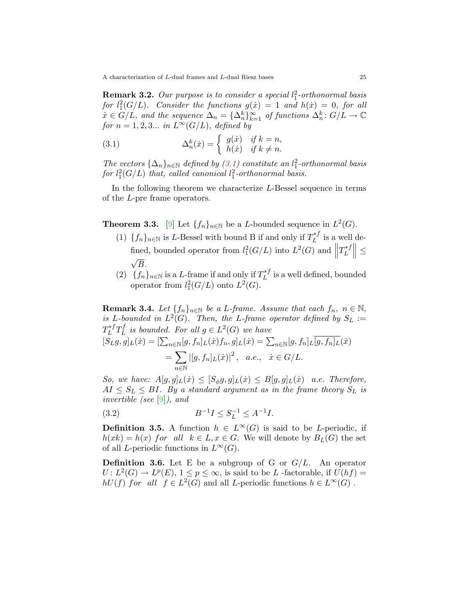**Remark 3.2.** Our purpose is to consider a special  $l_1^2$ -orthonormal basis for  $l_1^2(G/L)$ . Consider the functions  $g(x) = 1$  and  $h(x) = 0$ , for all  $\dot{x} \in G/L$ , and the sequence  $\Delta_n = {\Delta_n^k}_{k=1}^{\infty}$  of functions  $\Delta_n^k: G/L \to \mathbb{C}$ for  $n = 1, 2, 3...$  in  $L^{\infty}(G/L)$ , defined by

<span id="page-4-0"></span>(3.1) 
$$
\Delta_n^k(\dot{x}) = \begin{cases} g(\dot{x}) & \text{if } k = n, \\ h(\dot{x}) & \text{if } k \neq n. \end{cases}
$$

The vectors  $\{\Delta_n\}_{n\in\mathbb{N}}$  defined by  $(3.1)$  constitute an  $l_1^2$ -orthonormal basis for  $l_1^2(G/L)$  that, called canonical  $l_1^2$ -orthonormal basis.

In the following theorem we characterize L-Bessel sequence in terms of the L-pre frame operators.

<span id="page-4-2"></span>**Theorem 3.3.** [\[9\]](#page-11-0) Let  $\{f_n\}_{n\in\mathbb{N}}$  be a *L*-bounded sequence in  $L^2(G)$ .

- (1)  $\{f_n\}_{n\in\mathbb{N}}$  is L-Bessel with bound B if and only if  $T_L^{*f}$  $L^{*J}$  is a well defined, bounded operator from  $l_1^2(G/L)$  into  $L^2(G)$  and  $\parallel$  $T^{*f}_L$ fined, bounded operator from  $l_1^2(G/L)$  into  $L^2(G)$  and  $||T_L^{*f}|| \leq$  $\sqrt{B}$ .
- (2)  ${f_n}_{n\in\mathbb{N}}$  is a L-frame if and only if  $T_L^{*f}$  $L^{*}$  is a well defined, bounded operator from  $l_1^2(G/L)$  onto  $L^2(G)$ .

**Remark 3.4.** Let  $\{f_n\}_{n\in\mathbb{N}}$  be a L-frame. Assume that each  $f_n$ ,  $n \in \mathbb{N}$ , is L-bounded in  $L^2(G)$ . Then, the L-frame operator defined by  $S_L :=$  $T^{*f}_L$  $_L^{*f}T_L^f$  $L<sup>f</sup>$  is bounded. For all  $g \in L<sup>2</sup>(G)$  we have  $[S_L g, g]_L(\dot{x}) = [\sum_{n \in \mathbb{N}} [g, f_n]_L(\dot{x}) f_n, g]_L(\dot{x}) = \sum_{n \in \mathbb{N}} [g, f_n]_L[g, f_n]_L(\dot{x})$  $=$   $\sum$ n∈N  $|[g, f_n]_L(\dot{x})|^2$ , *a.e.*,  $\dot{x} \in G/L$ .

So, we have:  $A[g, g]_L(\dot{x}) \leq [S_{\phi}g, g]_L(\dot{x}) \leq B[g, g]_L(\dot{x})$  a.e. Therefore,  $AI \leq S_L \leq BI$ . By a standard argument as in the frame theory  $S_L$  is invertible (see [\[9\]](#page-11-0)), and

<span id="page-4-1"></span>(3.2) 
$$
B^{-1}I \leq S_L^{-1} \leq A^{-1}I.
$$

**Definition 3.5.** A function  $h \in L^{\infty}(G)$  is said to be *L*-periodic, if  $h(xk) = h(x)$  for all  $k \in L, x \in G$ . We will denote by  $B_L(G)$  the set of all *L*-periodic functions in  $L^{\infty}(G)$ .

**Definition 3.6.** Let E be a subgroup of G or  $G/L$ . An operator  $U: L^2(G) \to L^p(E), 1 \leq p \leq \infty$ , is said to be L-factorable, if  $U(hf) =$  $hU(f)$  for all  $f \in L^2(G)$  and all L-periodic functions  $h \in L^{\infty}(G)$ .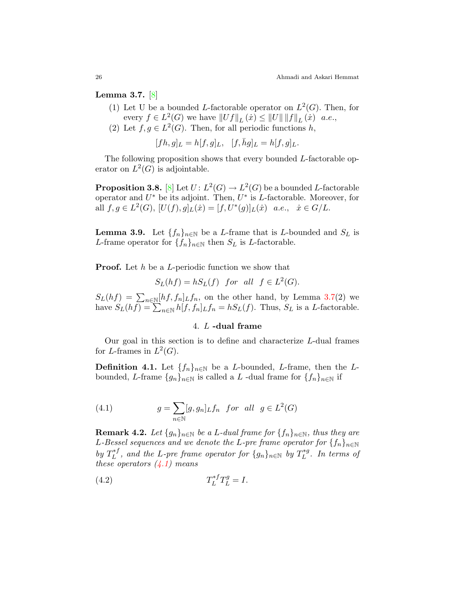<span id="page-5-0"></span>Lemma 3.7. [\[8\]](#page-11-3)

- (1) Let U be a bounded L-factorable operator on  $L^2(G)$ . Then, for every  $f \in L^2(G)$  we have  $||Uf||_L(\dot{x}) \le ||U|| \, ||f||_L(\dot{x})$  a.e.,
- (2) Let  $f, g \in L^2(G)$ . Then, for all periodic functions h,

$$
[fh, g]_L = h[f, g]_L, [f, \bar{h}g]_L = h[f, g]_L.
$$

The following proposition shows that every bounded L-factorable operator on  $L^2(G)$  is adjointable.

**Proposition 3.8.** [\[8\]](#page-11-3) Let  $U: L^2(G) \to L^2(G)$  be a bounded L-factorable operator and  $U^*$  be its adjoint. Then,  $U^*$  is L-factorable. Moreover, for all  $f, g \in L^2(G), [U(f), g]_L(\dot{x}) = [f, U^*(g)]_L(\dot{x})$  a.e.,  $\dot{x} \in G/L$ .

<span id="page-5-2"></span>**Lemma 3.9.** Let  $\{f_n\}_{n\in\mathbb{N}}$  be a L-frame that is L-bounded and  $S_L$  is L-frame operator for  $\{f_n\}_{n\in\mathbb{N}}$  then  $S_L$  is L-factorable.

**Proof.** Let h be a L-periodic function we show that

$$
S_L(hf) = hS_L(f) \quad \text{for all} \quad f \in L^2(G).
$$

 $S_L(hf) = \sum_{n \in \mathbb{N}} [hf, f_n]_Lf_n$ , on the other hand, by Lemma [3.7\(](#page-5-0)2) we have  $S_L(hf) = \sum_{n \in \mathbb{N}} h[f, f_n]_L f_n = hS_L(f)$ . Thus,  $S_L$  is a L-factorable.

# 4. L -dual frame

Our goal in this section is to define and characterize L-dual frames for L-frames in  $L^2(G)$ .

**Definition 4.1.** Let  $\{f_n\}_{n\in\mathbb{N}}$  be a *L*-bounded, *L*-frame, then the *L*bounded, L-frame  $\{g_n\}_{n\in\mathbb{N}}$  is called a L -dual frame for  $\{f_n\}_{n\in\mathbb{N}}$  if

<span id="page-5-1"></span>(4.1) 
$$
g = \sum_{n \in \mathbb{N}} [g, g_n]_L f_n \quad \text{for all} \quad g \in L^2(G)
$$

**Remark 4.2.** Let  $\{g_n\}_{n\in\mathbb{N}}$  be a L-dual frame for  $\{f_n\}_{n\in\mathbb{N}}$ , thus they are L-Bessel sequences and we denote the L-pre frame operator for  $\{f_n\}_{n\in\mathbb{N}}$ by  $T^{*f}_L$  $L_L^{*,*f}$ , and the L-pre frame operator for  $\{g_n\}_{n\in\mathbb{N}}$  by  $T_L^{*g}$  $L^{*g}$ . In terms of these operators  $(4.1)$  means

$$
(4.2)\t\t T_L^{*f}T_L^g = I.
$$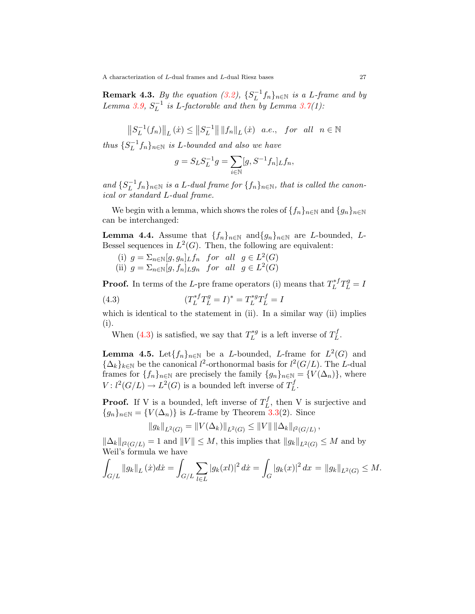**Remark 4.3.** By the equation  $(3.2)$ ,  $\{S_L^{-1}\}$  $\binom{n-1}{L}$   $f_n$  $\}$   $n \in \mathbb{N}$  is a L-frame and by  $Lemma 3.9, S_L^{-1}$  $Lemma 3.9, S_L^{-1}$  $Lemma 3.9, S_L^{-1}$  $L^{-1}$  is L-factorable and then by Lemma [3.7\(](#page-5-0)1):

 $\left\| {S_L^{ - 1} } \right\|$  $\|L^{-1}(f_n)\|_{L} (\dot{x}) \leq \|S_L^{-1}\|$  $\mathbb{E}^{-1}$ || || $f_n$ ||<sub>L</sub> $(\dot{x})$  a.e., for all  $n \in \mathbb{N}$ 

thus  $\{S_L^{-1}$  $\binom{-1}{L}$   $f_n$   $\}_n \in \mathbb{N}$  is L-bounded and also we have

$$
g = S_L S_L^{-1} g = \sum_{i \in \mathbb{N}} [g, S^{-1} f_n]_L f_n,
$$

and  $\{S_L^{-1}$  $L^{-1}f_n$ <sub>}n∈N</sub> is a L-dual frame for  $\{f_n\}_{n\in\mathbb{N}}$ , that is called the canonical or standard L-dual frame.

We begin with a lemma, which shows the roles of  $\{f_n\}_{n\in\mathbb{N}}$  and  $\{g_n\}_{n\in\mathbb{N}}$ can be interchanged:

<span id="page-6-1"></span>**Lemma 4.4.** Assume that  $\{f_n\}_{n\in\mathbb{N}}$  and  $\{g_n\}_{n\in\mathbb{N}}$  are *L*-bounded, *L*-Bessel sequences in  $L^2(G)$ . Then, the following are equivalent:

- (i)  $g = \sum_{n \in \mathbb{N}} [g, g_n]_L f_n$  for all  $g \in L^2(G)$
- <span id="page-6-0"></span>(ii)  $g = \sum_{n \in \mathbb{N}} [g, f_n]_{L} g_n$  for all  $g \in L^2(G)$

**Proof.** In terms of the L-pre frame operators (i) means that  $T_L^{*f}$  $L^{*f}T_{L}^{g}=I$ 

(4.3) 
$$
(T_L^{*f}T_L^g = I)^* = T_L^{*g}T_L^f = I
$$

which is identical to the statement in (ii). In a similar way (ii) implies (i).

When [\(4.3\)](#page-6-0) is satisfied, we say that  $T_L^{*g}$  $L^{*g}$  is a left inverse of  $T_L^f$  $L^f$  .

<span id="page-6-2"></span>**Lemma 4.5.** Let  ${f_n}_{n\in\mathbb{N}}$  be a L-bounded, L-frame for  $L^2(G)$  and  $\{\Delta_k\}_{k\in\mathbb{N}}$  be the canonical  $l^2$ -orthonormal basis for  $l^2(G/L)$ . The L-dual frames for  $\{f_n\}_{n\in\mathbb{N}}$  are precisely the family  $\{g_n\}_{n\in\mathbb{N}} = \{V(\Delta_n)\}\,$ , where  $V: l^2(G/L) \to L^2(G)$  is a bounded left inverse of  $T_L^f$ 'J<br>L

**Proof.** If V is a bounded, left inverse of  $T_L^f$  $L^{\prime}$ , then V is surjective and  ${g_n}_{n\in\mathbb{N}} = {V(\Delta_n)}$  is *L*-frame by Theorem [3.3\(](#page-4-2)2). Since

$$
||g_k||_{L^2(G)} = ||V(\Delta_k)||_{L^2(G)} \le ||V|| \, ||\Delta_k||_{l^2(G/L)},
$$

 $\|\Delta_k\|_{l^2(G/L)} = 1$  and  $||V|| \leq M$ , this implies that  $||g_k||_{L^2(G)} \leq M$  and by Weil's formula we have

$$
\int_{G/L} \|g_k\|_{L} (\dot{x}) d\dot{x} = \int_{G/L} \sum_{l \in L} |g_k(xl)|^2 d\dot{x} = \int_G |g_k(x)|^2 dx = \|g_k\|_{L^2(G)} \le M.
$$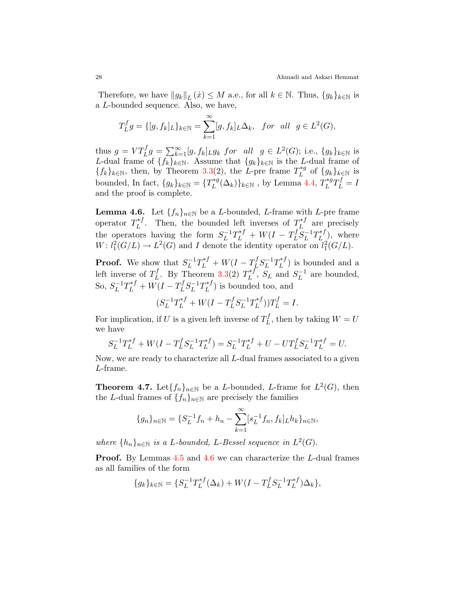Therefore, we have  $||g_k||_L(\dot{x}) \leq M$  a.e., for all  $k \in \mathbb{N}$ . Thus,  $\{g_k\}_{k \in \mathbb{N}}$  is a L-bounded sequence. Also, we have,

$$
T_L^fg = \{ [g, f_k]_L \}_{k \in \mathbb{N}} = \sum_{k=1}^{\infty} [g, f_k]_L \Delta_k, \text{ for all } g \in L^2(G),
$$

thus  $g = VT_L^f g = \sum_{k=1}^{\infty} [g, f_k]_{L} g_k$  for all  $g \in L^2(G)$ ; i.e.,  $\{g_k\}_{k \in \mathbb{N}}$  is L-dual frame of  $\{f_k\}_{k\in\mathbb{N}}$ . Assume that  $\{g_k\}_{k\in\mathbb{N}}$  is the L-dual frame of  $\{f_k\}_{k\in\mathbb{N}}$ , then, by Theorem [3.3\(](#page-4-2)2), the L-pre frame  $T_L^{*g}$  $L^{*g}$  of  $\{g_k\}_{k\in\mathbb{N}}$  is bounded, In fact,  ${g_k}_{k \in \mathbb{N}} = {T_L^{*g}}$  $L^{*g}(\Delta_k)\}_{k\in\mathbb{N}}$ , by Lemma [4.4,](#page-6-1)  $T^{*g}_L$  $L^{*g}T^f_L=I$ and the proof is complete.

<span id="page-7-0"></span>**Lemma 4.6.** Let  $\{f_n\}_{n\in\mathbb{N}}$  be a *L*-bounded, *L*-frame with *L*-pre frame operator  $T_L^{*f}$  $L^{*f}$ . Then, the bounded left inverses of  $T^{*f}_L$  $L^{*J}$  are precisely the operators having the form  $S_L^{-1}$  $L^{-1}T_{L}^{*f} + W(I - T_{L}^{f})$  $_L^f S_L^{-1}$  $L^{-1}T_{L}^{\ast f}$  $L^{*J}_{L}$ ), where  $W: l_1^2(G/L) \to L^2(G)$  and I denote the identity operator on  $l_1^2(G/L)$ .

**Proof.** We show that  $S_L^{-1}$  $L^{-1}T_L^{*f}+W(I-T_L^f)$  $_L^f S_L^{-1}$  $\iota_L^{-1}T_L^{*f}$  $\binom{n}{L}$  is bounded and a left inverse of  $T^f_L$  $L^f$ . By Theorem [3.3\(](#page-4-2)2)  $T^{\ast f}_L$  $L^{*f}$ ,  $S_L$  and  $S_L^{-1}$  $L^{-1}$  are bounded, So,  $S_L^{-1}$  $L^{-1}T_{L}^{*f} + W(I - T_{L}^{f})$  $_L^f S_L^{-1}$  $\iota_L^{-1}T_L^{*f}$  $\binom{n}{L}$  is bounded too, and

$$
(S_L^{-1}T_L^{*f} + W(I - T_L^f S_L^{-1}T_L^{*f}))T_L^f = I.
$$

For implication, if U is a given left inverse of  $T_L^f$  $L^U$ , then by taking  $W = U$ we have

$$
S_L^{-1}T_L^{*f} + W(I - T_L^f S_L^{-1} T_L^{*f}) = S_L^{-1}T_L^{*f} + U - UT_L^f S_L^{-1} T_L^{*f} = U.
$$

Now, we are ready to characterize all L-dual frames associated to a given L-frame.

**Theorem 4.7.** Let  $\{f_n\}_{n\in\mathbb{N}}$  be a L-bounded, L-frame for  $L^2(G)$ , then the L-dual frames of  $\{f_n\}_{n\in\mathbb{N}}$  are precisely the families

$$
\{g_n\}_{n\in\mathbb{N}} = \{S_L^{-1}f_n + h_n - \sum_{k=1}^{\infty} [s_L^{-1}f_n, f_k]_L h_k\}_{n\in\mathbb{N}},
$$

where  $\{h_n\}_{n\in\mathbb{N}}$  is a L-bounded, L-Bessel sequence in  $L^2(G)$ .

Proof. By Lemmas [4.5](#page-6-2) and [4.6](#page-7-0) we can characterize the L-dual frames as all families of the form

$$
\{g_k\}_{k \in \mathbb{N}} = \{S_L^{-1}T_L^{*f}(\Delta_k) + W(I - T_L^f S_L^{-1} T_L^{*f})\Delta_k\},\
$$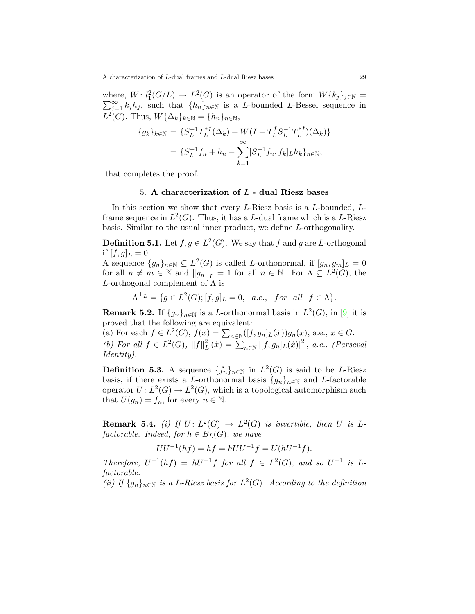where,  $W: l_1^2(G/L) \to L^2(G)$  is an operator of the form  $W\{k_j\}_{j\in\mathbb{N}}=$  $\sum_{j=1}^{\infty} k_j h_j$ , such that  $\{h_n\}_{n\in\mathbb{N}}$  is a L-bounded L-Bessel sequence in  $L^2(G)$ . Thus,  $W{\{\Delta_k\}_{k\in\mathbb{N}} = {h_n\}_{n\in\mathbb{N}}},$ 

$$
\{g_k\}_{k \in \mathbb{N}} = \{S_L^{-1}T_L^{*f}(\Delta_k) + W(I - T_L^f S_L^{-1} T_L^{*f})(\Delta_k)\}
$$
  
= 
$$
\{S_L^{-1}f_n + h_n - \sum_{k=1}^{\infty} [S_L^{-1}f_n, f_k]_L h_k\}_{n \in \mathbb{N}},
$$

that completes the proof.

### 5. A characterization of  $L$  - dual Riesz bases

In this section we show that every L-Riesz basis is a L-bounded, Lframe sequence in  $L^2(G)$ . Thus, it has a L-dual frame which is a L-Riesz basis. Similar to the usual inner product, we define L-orthogonality.

**Definition 5.1.** Let  $f, g \in L^2(G)$ . We say that f and g are L-orthogonal if  $[f, g]_L = 0$ .

A sequence  $\{g_n\}_{n\in\mathbb{N}}\subseteq L^2(G)$  is called L-orthonormal, if  $[g_n,g_m]_L=0$ for all  $n \neq m \in \mathbb{N}$  and  $||g_n||_L = 1$  for all  $n \in \mathbb{N}$ . For  $\Lambda \subseteq L^2(G)$ , the L-orthogonal complement of  $\Lambda$  is

$$
\Lambda^{\perp_L} = \{ g \in L^2(G); [f, g]_L = 0, \quad a.e., \quad for \quad all \quad f \in \Lambda \}.
$$

<span id="page-8-0"></span>**Remark 5.2.** If  $\{g_n\}_{n\in\mathbb{N}}$  is a L-orthonormal basis in  $L^2(G)$ , in [\[9\]](#page-11-0) it is proved that the following are equivalent:

(a) For each  $f \in L^2(G)$ ,  $f(x) = \sum_{n \in \mathbb{N}} ([f, g_n]_L(\dot{x})) g_n(x)$ , a.e.,  $x \in G$ . (b) For all  $f \in L^2(G)$ ,  $||f||_I^2$  $\sum_{n=1}^{2} (\dot{x}) = \sum_{n \in \mathbb{N}} |[f, g_n]_L(\dot{x})|^2$ , a.e., (Parseval Identity).

**Definition 5.3.** A sequence  $\{f_n\}_{n\in\mathbb{N}}$  in  $L^2(G)$  is said to be L-Riesz basis, if there exists a L-orthonormal basis  $\{g_n\}_{n\in\mathbb{N}}$  and L-factorable operator  $U: L^2(G) \to L^2(G)$ , which is a topological automorphism such that  $U(g_n) = f_n$ , for every  $n \in \mathbb{N}$ .

<span id="page-8-1"></span>**Remark 5.4.** (i) If  $U: L^2(G) \to L^2(G)$  is invertible, then U is Lfactorable. Indeed, for  $h \in B_L(G)$ , we have

$$
UU^{-1}(hf) = hf = hUU^{-1}f = U(hU^{-1}f).
$$

Therefore,  $U^{-1}(hf) = hU^{-1}f$  for all  $f \in L^2(G)$ , and so  $U^{-1}$  is Lfactorable.

(ii) If  $\{g_n\}_{n\in\mathbb{N}}$  is a L-Riesz basis for  $L^2(G)$ . According to the definition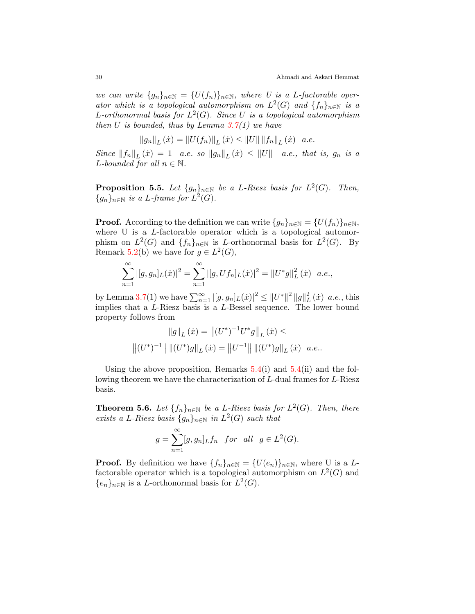we can write  $\{g_n\}_{n\in\mathbb{N}} = \{U(f_n)\}_{n\in\mathbb{N}}$ , where U is a L-factorable operator which is a topological automorphism on  $L^2(G)$  and  $\{f_n\}_{n\in\mathbb{N}}$  is a L-orthonormal basis for  $L^2(G)$ . Since U is a topological automorphism then U is bounded, thus by Lemma  $3.7(1)$  $3.7(1)$  we have

$$
||g_n||_L(\dot{x}) = ||U(f_n)||_L(\dot{x}) \le ||U|| ||f_n||_L(\dot{x}) \quad a.e.
$$

Since  $||f_n||_L(\dot{x}) = 1$  a.e. so  $||g_n||_L(\dot{x}) \leq ||U||$  a.e., that is,  $g_n$  is a L-bounded for all  $n \in \mathbb{N}$ .

**Proposition 5.5.** Let  ${g_n}_{n \in \mathbb{N}}$  be a L-Riesz basis for  $L^2(G)$ . Then,  ${g_n}_{n \in \mathbb{N}}$  is a L-frame for  $L^2(G)$ .

**Proof.** According to the definition we can write  $\{g_n\}_{n\in\mathbb{N}} = \{U(f_n)\}_{n\in\mathbb{N}},$ where U is a L-factorable operator which is a topological automorphism on  $L^2(G)$  and  $\{f_n\}_{n\in\mathbb{N}}$  is L-orthonormal basis for  $L^2(G)$ . By Remark [5.2\(](#page-8-0)b) we have for  $g \in L^2(G)$ ,

$$
\sum_{n=1}^{\infty} |[g, g_n]_L(\dot{x})|^2 = \sum_{n=1}^{\infty} |[g, Uf_n]_L(\dot{x})|^2 = ||U^*g||_L^2(\dot{x}) \quad a.e.,
$$

by Lemma [3.7\(](#page-5-0)1) we have  $\sum_{n=1}^{\infty} |[g, g_n]_L(\dot{x})|^2 \leq ||U^*||^2 ||g||_L^2$  $L^2(\dot{x})$  a.e., this implies that a L-Riesz basis is a L-Bessel sequence. The lower bound property follows from

$$
||g||_{L} (\dot{x}) = ||(U^{*})^{-1}U^{*}g||_{L} (\dot{x}) \le
$$
  

$$
||(U^{*})^{-1}|| ||(U^{*})g||_{L} (\dot{x}) = ||U^{-1}|| ||(U^{*})g||_{L} (\dot{x}) \quad a.e..
$$

Using the above proposition, Remarks  $5.4(i)$  $5.4(i)$  and  $5.4(ii)$  and the following theorem we have the characterization of L-dual frames for L-Riesz basis.

**Theorem 5.6.** Let  $\{f_n\}_{n\in\mathbb{N}}$  be a L-Riesz basis for  $L^2(G)$ . Then, there exists a L-Riesz basis  ${g_n}_{n \in \mathbb{N}}$  in  $L^2(G)$  such that

$$
g = \sum_{n=1}^{\infty} [g, g_n]_L f_n \quad \text{for all} \quad g \in L^2(G).
$$

**Proof.** By definition we have  $\{f_n\}_{n\in\mathbb{N}} = \{U(e_n)\}_{n\in\mathbb{N}}$ , where U is a Lfactorable operator which is a topological automorphism on  $L^2(G)$  and  $\{e_n\}_{n\in\mathbb{N}}$  is a *L*-orthonormal basis for  $L^2(G)$ .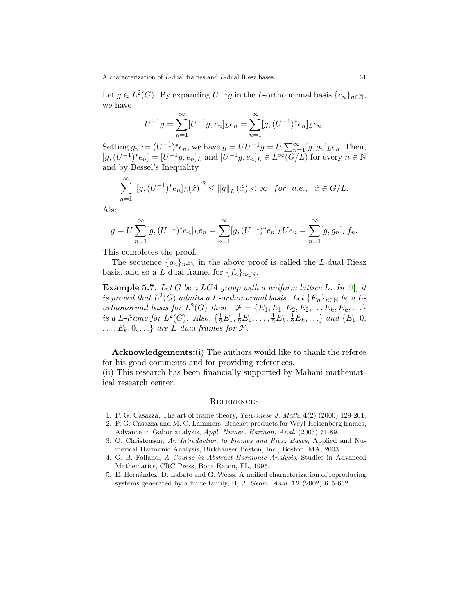Let  $g \in L^2(G)$ . By expanding  $U^{-1}g$  in the L-orthonormal basis  $\{e_n\}_{n\in\mathbb{N}},$ we have

$$
U^{-1}g = \sum_{n=1}^{\infty} [U^{-1}g, e_n]_L e_n = \sum_{n=1}^{\infty} [g, (U^{-1})^* e_n]_L e_n.
$$

Setting  $g_n := (U^{-1})^* e_n$ , we have  $g = U U^{-1} g = U \sum_{n=1}^{\infty} [g, g_n]_L e_n$ . Then,  $[g,(U^{-1})^*e_n] = [U^{-1}g,e_n]_L$  and  $[U^{-1}g,e_n]_L \in L^\infty(\overline{G/L})$  for every  $n \in \mathbb{N}$ and by Bessel's Inequality

$$
\sum_{n=1}^{\infty} |[g, (U^{-1})^* e_n]_L(\dot{x})|^2 \le ||g||_L(\dot{x}) < \infty \text{ for a.e., } \dot{x} \in G/L.
$$

Also,

$$
g = U \sum_{n=1}^{\infty} [g, (U^{-1})^* e_n]_L e_n = \sum_{n=1}^{\infty} [g, (U^{-1})^* e_n]_L U e_n = \sum_{n=1}^{\infty} [g, g_n]_L f_n.
$$

This completes the proof.

The sequence  $\{g_n\}_{n\in\mathbb{N}}$  in the above proof is called the L-dual Riesz basis, and so a L-dual frame, for  $\{f_n\}_{n\in\mathbb{N}}$ .

**Example 5.7.** Let G be a LCA group with a uniform lattice L. In [\[9\]](#page-11-0), it is proved that  $L^2(G)$  admits a L-orthonormal basis. Let  $\{E_n\}_{n\in\mathbb{N}}$  be a Lorthonormal basis for  $L^2(G)$  then  $\mathcal{F} = \{E_1, E_1, E_2, E_2, \dots E_k, E_k, \dots\}$ is a L-frame for  $L^2(G)$ . Also,  $\{\frac{1}{2}E_1, \frac{1}{2}E_1, \ldots, \frac{1}{2}E_k, \frac{1}{2}E_k, \ldots\}$  and  $\{E_1, 0, \}$  $\ldots, E_k, 0, \ldots\}$  are L-dual frames for  $\mathcal{F}.$ 

Acknowledgements:(i) The authors would like to thank the referee for his good comments and for providing references.

(ii) This research has been financially supported by Mahani mathematical research center.

### **REFERENCES**

- <span id="page-10-1"></span>1. P. G. Casazza, The art of frame theory, Taiwanese J. Math. 4(2) (2000) 129-201.
- <span id="page-10-0"></span>2. P. G. Casazza and M. C. Lammers, Bracket products for Weyl-Heisenberg frames, Advance in Gabor analysis, Appl. Numer. Harmon. Anal. (2003) 71-89.
- <span id="page-10-2"></span>3. O. Christensen, An Introduction to Frames and Riesz Bases, Applied and Numerical Harmonic Analysis, Birkhäuser Boston, Inc., Boston, MA, 2003.
- <span id="page-10-3"></span>4. G. B. Folland, A Course in Abstract Harmonic Analysis, Studies in Advanced Mathematics, CRC Press, Boca Raton, FL, 1995.
- <span id="page-10-4"></span>5. E. Hern´andez, D. Labate and G. Weiss, A unified characterization of reproducing systems generated by a finite family, II, J. Geom. Anal. 12 (2002) 615-662.